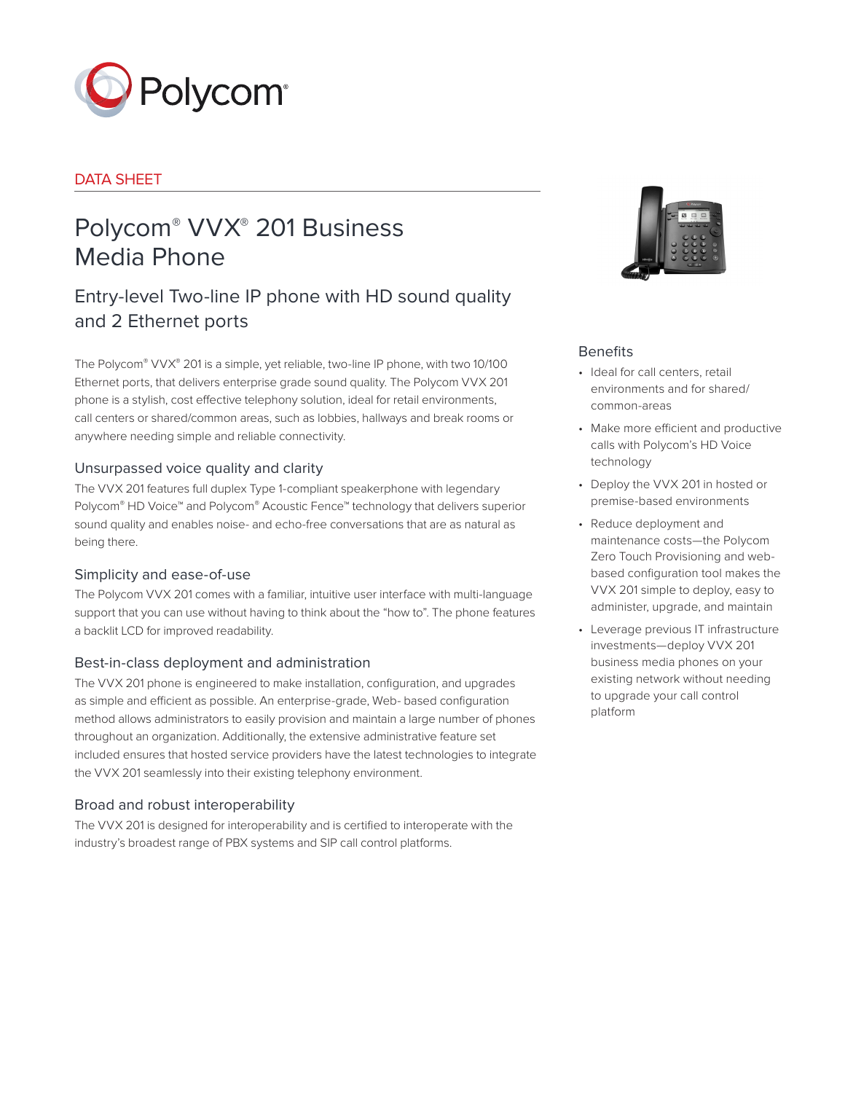

## DATA SHEET

# Polycom® VVX® 201 Business Media Phone

## Entry-level Two-line IP phone with HD sound quality and 2 Ethernet ports

The Polycom® VVX® 201 is a simple, yet reliable, two-line IP phone, with two 10/100 Ethernet ports, that delivers enterprise grade sound quality. The Polycom VVX 201 phone is a stylish, cost effective telephony solution, ideal for retail environments, call centers or shared/common areas, such as lobbies, hallways and break rooms or anywhere needing simple and reliable connectivity.

## Unsurpassed voice quality and clarity

The VVX 201 features full duplex Type 1-compliant speakerphone with legendary Polycom® HD Voice™ and Polycom® Acoustic Fence™ technology that delivers superior sound quality and enables noise- and echo-free conversations that are as natural as being there.

## Simplicity and ease-of-use

The Polycom VVX 201 comes with a familiar, intuitive user interface with multi-language support that you can use without having to think about the "how to". The phone features a backlit LCD for improved readability.

## Best-in-class deployment and administration

The VVX 201 phone is engineered to make installation, configuration, and upgrades as simple and efficient as possible. An enterprise-grade, Web- based configuration method allows administrators to easily provision and maintain a large number of phones throughout an organization. Additionally, the extensive administrative feature set included ensures that hosted service providers have the latest technologies to integrate the VVX 201 seamlessly into their existing telephony environment.

## Broad and robust interoperability

The VVX 201 is designed for interoperability and is certified to interoperate with the industry's broadest range of PBX systems and SIP call control platforms.



## **Benefits**

- Ideal for call centers, retail environments and for shared/ common-areas
- Make more efficient and productive calls with Polycom's HD Voice technology
- Deploy the VVX 201 in hosted or premise-based environments
- Reduce deployment and maintenance costs—the Polycom Zero Touch Provisioning and webbased configuration tool makes the VVX 201 simple to deploy, easy to administer, upgrade, and maintain
- Leverage previous IT infrastructure investments—deploy VVX 201 business media phones on your existing network without needing to upgrade your call control platform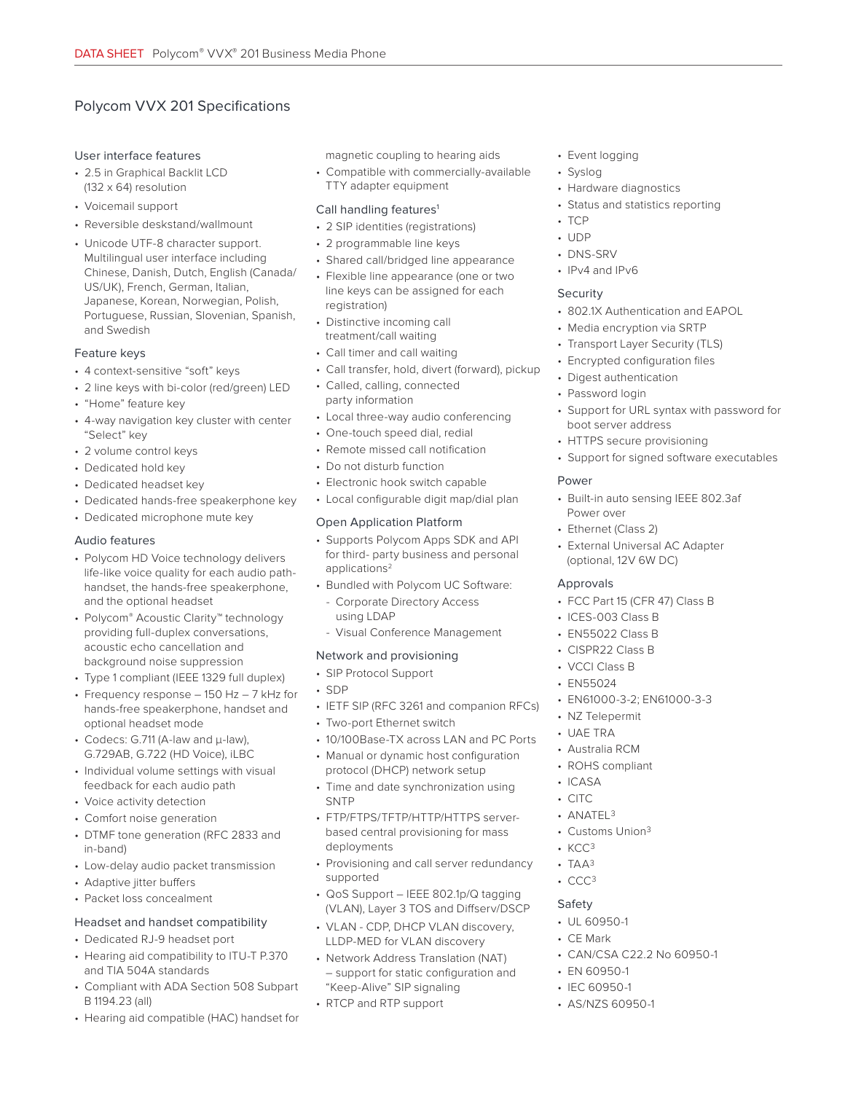## Polycom VVX 201 Specifications

#### User interface features

- 2.5 in Graphical Backlit LCD (132 x 64) resolution
- Voicemail support
- Reversible deskstand/wallmount
- Unicode UTF-8 character support. Multilingual user interface including Chinese, Danish, Dutch, English (Canada/ US/UK), French, German, Italian, Japanese, Korean, Norwegian, Polish, Portuguese, Russian, Slovenian, Spanish, and Swedish

#### Feature keys

- 4 context-sensitive "soft" keys
- 2 line keys with bi-color (red/green) LED
- "Home" feature key
- 4-way navigation key cluster with center "Select" key
- 2 volume control keys
- Dedicated hold key
- Dedicated headset key
- Dedicated hands-free speakerphone key
- Dedicated microphone mute key

#### Audio features

- Polycom HD Voice technology delivers life-like voice quality for each audio pathhandset, the hands-free speakerphone, and the optional headset
- Polycom® Acoustic Clarity™ technology providing full-duplex conversations, acoustic echo cancellation and background noise suppression
- Type 1 compliant (IEEE 1329 full duplex)
- Frequency response 150 Hz 7 kHz for hands-free speakerphone, handset and optional headset mode
- Codecs: G.711 (A-law and μ-law), G.729AB, G.722 (HD Voice), iLBC
- Individual volume settings with visual feedback for each audio path
- Voice activity detection
- Comfort noise generation
- DTMF tone generation (RFC 2833 and in-band)
- Low-delay audio packet transmission
- Adaptive jitter buffers
- Packet loss concealment

#### Headset and handset compatibility

- Dedicated RJ-9 headset port
- Hearing aid compatibility to ITU-T P.370 and TIA 504A standards
- Compliant with ADA Section 508 Subpart B 1194.23 (all)
- Hearing aid compatible (HAC) handset for

magnetic coupling to hearing aids

• Compatible with commercially-available TTY adapter equipment

#### Call handling features<sup>1</sup>

- 2 SIP identities (registrations)
- 2 programmable line keys
- Shared call/bridged line appearance
- Flexible line appearance (one or two line keys can be assigned for each registration)
- Distinctive incoming call treatment/call waiting
- Call timer and call waiting
- Call transfer, hold, divert (forward), pickup
- Called, calling, connected party information
- Local three-way audio conferencing
- One-touch speed dial, redial
- Remote missed call notification
- Do not disturb function
- Electronic hook switch capable
- Local configurable digit map/dial plan

#### Open Application Platform

- Supports Polycom Apps SDK and API for third- party business and personal applications<sup>2</sup>
- Bundled with Polycom UC Software:
	- Corporate Directory Access using LDAP
- Visual Conference Management

#### Network and provisioning

- SIP Protocol Support
- SDP
- IETF SIP (RFC 3261 and companion RFCs)
- Two-port Ethernet switch
- 10/100Base-TX across LAN and PC Ports
- Manual or dynamic host configuration protocol (DHCP) network setup
- Time and date synchronization using **SNTP**
- FTP/FTPS/TFTP/HTTP/HTTPS serverbased central provisioning for mass deployments
- Provisioning and call server redundancy supported
- QoS Support IEEE 802.1p/Q tagging (VLAN), Layer 3 TOS and Diffserv/DSCP
- VLAN CDP, DHCP VLAN discovery, LLDP-MED for VLAN discovery
- Network Address Translation (NAT) – support for static configuration and "Keep-Alive" SIP signaling
- RTCP and RTP support
- Event logging
- Syslog
- Hardware diagnostics
- Status and statistics reporting
- TCP
- UDP
- DNS-SRV
- IPv4 and IPv6

#### Security

- 802.1X Authentication and EAPOL
- Media encryption via SRTP
- Transport Layer Security (TLS)
- Encrypted configuration files
- Digest authentication
- Password login
- Support for URL syntax with password for boot server address
- HTTPS secure provisioning
- Support for signed software executables

#### Power

- Built-in auto sensing IEEE 802.3af Power over
- Ethernet (Class 2)
- External Universal AC Adapter (optional, 12V 6W DC)

#### Approvals

• FCC Part 15 (CFR 47) Class B

• EN61000-3-2; EN61000-3-3

• CAN/CSA C22.2 No 60950-1

- ICES-003 Class B
- EN55022 Class B
- CISPR22 Class B
- VCCI Class B

• NZ Telepermit • UAE TRA • Australia RCM • ROHS compliant

• EN55024

• ICASA • CITC  $•$  ANATEL  $3$ • Customs Union3

• KCC3  $-$  TAA $3$ • CCC3 Safety • UL 60950-1 • CE Mark

• EN 60950-1 • IEC 60950-1 • AS/NZS 60950-1